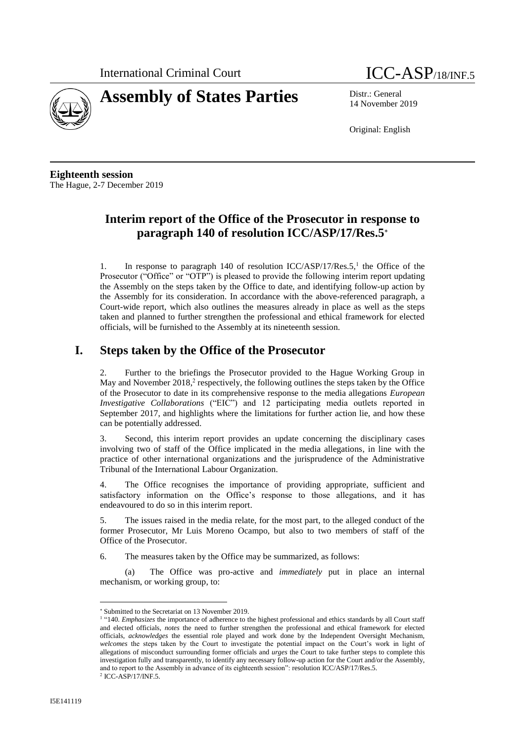

## **Assembly of States Parties** Distr.: General

14 November 2019

Original: English

**Eighteenth session** The Hague, 2-7 December 2019

## **Interim report of the Office of the Prosecutor in response to paragraph 140 of resolution ICC/ASP/17/Res.5**

1. In response to paragraph 140 of resolution  $ICC/ASP/17/Res.5$ ,<sup>1</sup> the Office of the Prosecutor ("Office" or "OTP") is pleased to provide the following interim report updating the Assembly on the steps taken by the Office to date, and identifying follow-up action by the Assembly for its consideration. In accordance with the above-referenced paragraph, a Court-wide report, which also outlines the measures already in place as well as the steps taken and planned to further strengthen the professional and ethical framework for elected officials, will be furnished to the Assembly at its nineteenth session.

## **I. Steps taken by the Office of the Prosecutor**

2. Further to the briefings the Prosecutor provided to the Hague Working Group in May and November 2018,<sup>2</sup> respectively, the following outlines the steps taken by the Office of the Prosecutor to date in its comprehensive response to the media allegations *European Investigative Collaborations* ("EIC") and 12 participating media outlets reported in September 2017, and highlights where the limitations for further action lie, and how these can be potentially addressed.

3. Second, this interim report provides an update concerning the disciplinary cases involving two of staff of the Office implicated in the media allegations, in line with the practice of other international organizations and the jurisprudence of the Administrative Tribunal of the International Labour Organization.

4. The Office recognises the importance of providing appropriate, sufficient and satisfactory information on the Office's response to those allegations, and it has endeavoured to do so in this interim report.

5. The issues raised in the media relate, for the most part, to the alleged conduct of the former Prosecutor, Mr Luis Moreno Ocampo, but also to two members of staff of the Office of the Prosecutor.

6. The measures taken by the Office may be summarized, as follows:

The Office was pro-active and *immediately* put in place an internal mechanism, or working group, to:

 $\overline{a}$ 

Submitted to the Secretariat on 13 November 2019.

<sup>&</sup>lt;sup>1</sup> "140. *Emphasizes* the importance of adherence to the highest professional and ethics standards by all Court staff and elected officials, *notes* the need to further strengthen the professional and ethical framework for elected officials, *acknowledges* the essential role played and work done by the Independent Oversight Mechanism, *welcomes* the steps taken by the Court to investigate the potential impact on the Court's work in light of allegations of misconduct surrounding former officials and *urges* the Court to take further steps to complete this investigation fully and transparently, to identify any necessary follow-up action for the Court and/or the Assembly, and to report to the Assembly in advance of its eighteenth session": resolution ICC/ASP/17/Res.5.

<sup>2</sup> ICC-ASP/17/INF.5.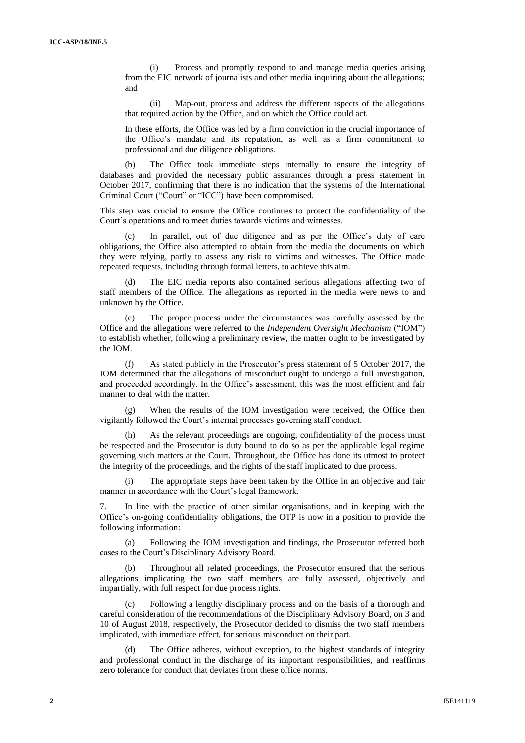(i) Process and promptly respond to and manage media queries arising from the EIC network of journalists and other media inquiring about the allegations; and

(ii) Map-out, process and address the different aspects of the allegations that required action by the Office, and on which the Office could act.

In these efforts, the Office was led by a firm conviction in the crucial importance of the Office's mandate and its reputation, as well as a firm commitment to professional and due diligence obligations.

(b) The Office took immediate steps internally to ensure the integrity of databases and provided the necessary public assurances through a press statement in October 2017, confirming that there is no indication that the systems of the International Criminal Court ("Court" or "ICC") have been compromised.

This step was crucial to ensure the Office continues to protect the confidentiality of the Court's operations and to meet duties towards victims and witnesses.

In parallel, out of due diligence and as per the Office's duty of care obligations, the Office also attempted to obtain from the media the documents on which they were relying, partly to assess any risk to victims and witnesses. The Office made repeated requests, including through formal letters, to achieve this aim.

(d) The EIC media reports also contained serious allegations affecting two of staff members of the Office. The allegations as reported in the media were news to and unknown by the Office.

(e) The proper process under the circumstances was carefully assessed by the Office and the allegations were referred to the *Independent Oversight Mechanism* ("IOM") to establish whether, following a preliminary review, the matter ought to be investigated by the IOM.

(f) As stated publicly in the Prosecutor's press statement of 5 October 2017, the IOM determined that the allegations of misconduct ought to undergo a full investigation, and proceeded accordingly. In the Office's assessment, this was the most efficient and fair manner to deal with the matter.

(g) When the results of the IOM investigation were received, the Office then vigilantly followed the Court's internal processes governing staff conduct.

As the relevant proceedings are ongoing, confidentiality of the process must be respected and the Prosecutor is duty bound to do so as per the applicable legal regime governing such matters at the Court. Throughout, the Office has done its utmost to protect the integrity of the proceedings, and the rights of the staff implicated to due process.

(i) The appropriate steps have been taken by the Office in an objective and fair manner in accordance with the Court's legal framework.

7. In line with the practice of other similar organisations, and in keeping with the Office's on-going confidentiality obligations, the OTP is now in a position to provide the following information:

(a) Following the IOM investigation and findings, the Prosecutor referred both cases to the Court's Disciplinary Advisory Board.

Throughout all related proceedings, the Prosecutor ensured that the serious allegations implicating the two staff members are fully assessed, objectively and impartially, with full respect for due process rights.

Following a lengthy disciplinary process and on the basis of a thorough and careful consideration of the recommendations of the Disciplinary Advisory Board, on 3 and 10 of August 2018, respectively, the Prosecutor decided to dismiss the two staff members implicated, with immediate effect, for serious misconduct on their part.

(d) The Office adheres, without exception, to the highest standards of integrity and professional conduct in the discharge of its important responsibilities, and reaffirms zero tolerance for conduct that deviates from these office norms.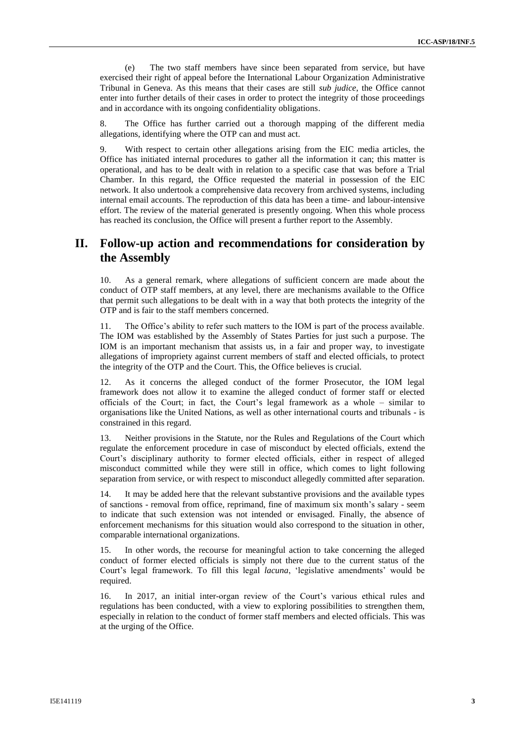(e) The two staff members have since been separated from service, but have exercised their right of appeal before the International Labour Organization Administrative Tribunal in Geneva. As this means that their cases are still *sub judice*, the Office cannot enter into further details of their cases in order to protect the integrity of those proceedings and in accordance with its ongoing confidentiality obligations.

8. The Office has further carried out a thorough mapping of the different media allegations, identifying where the OTP can and must act.

9. With respect to certain other allegations arising from the EIC media articles, the Office has initiated internal procedures to gather all the information it can; this matter is operational, and has to be dealt with in relation to a specific case that was before a Trial Chamber. In this regard, the Office requested the material in possession of the EIC network. It also undertook a comprehensive data recovery from archived systems, including internal email accounts. The reproduction of this data has been a time- and labour-intensive effort. The review of the material generated is presently ongoing. When this whole process has reached its conclusion, the Office will present a further report to the Assembly.

## **II. Follow-up action and recommendations for consideration by the Assembly**

10. As a general remark, where allegations of sufficient concern are made about the conduct of OTP staff members, at any level, there are mechanisms available to the Office that permit such allegations to be dealt with in a way that both protects the integrity of the OTP and is fair to the staff members concerned.

11. The Office's ability to refer such matters to the IOM is part of the process available. The IOM was established by the Assembly of States Parties for just such a purpose. The IOM is an important mechanism that assists us, in a fair and proper way, to investigate allegations of impropriety against current members of staff and elected officials, to protect the integrity of the OTP and the Court. This, the Office believes is crucial.

12. As it concerns the alleged conduct of the former Prosecutor, the IOM legal framework does not allow it to examine the alleged conduct of former staff or elected officials of the Court; in fact, the Court's legal framework as a whole – similar to organisations like the United Nations, as well as other international courts and tribunals - is constrained in this regard.

13. Neither provisions in the Statute, nor the Rules and Regulations of the Court which regulate the enforcement procedure in case of misconduct by elected officials, extend the Court's disciplinary authority to former elected officials, either in respect of alleged misconduct committed while they were still in office, which comes to light following separation from service, or with respect to misconduct allegedly committed after separation.

14. It may be added here that the relevant substantive provisions and the available types of sanctions - removal from office, reprimand, fine of maximum six month's salary - seem to indicate that such extension was not intended or envisaged. Finally, the absence of enforcement mechanisms for this situation would also correspond to the situation in other, comparable international organizations.

15. In other words, the recourse for meaningful action to take concerning the alleged conduct of former elected officials is simply not there due to the current status of the Court's legal framework. To fill this legal *lacuna*, 'legislative amendments' would be required.

16. In 2017, an initial inter-organ review of the Court's various ethical rules and regulations has been conducted, with a view to exploring possibilities to strengthen them, especially in relation to the conduct of former staff members and elected officials. This was at the urging of the Office.